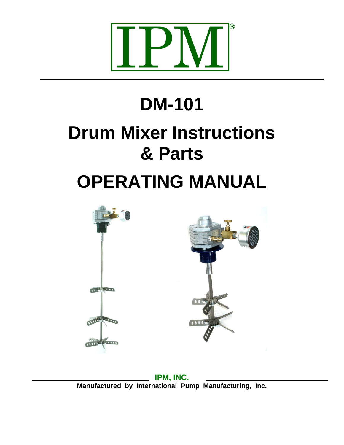

# **DM-101 Drum Mixer Instructions & Parts OPERATING MANUAL**



**IPM, INC. Manufactured by International Pump Manufacturing, Inc.**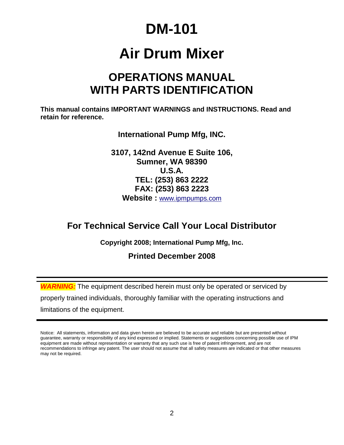# **DM-101**

# **Air Drum Mixer**

### **OPERATIONS MANUAL WITH PARTS IDENTIFICATION**

**This manual contains IMPORTANT WARNINGS and INSTRUCTIONS. Read and retain for reference.**

**International Pump Mfg, INC.**

**3107, 142nd Avenue E Suite 106, Sumner, WA 98390 U.S.A. TEL: (253) 863 2222 FAX: (253) 863 2223 Website :** [www.ipmpumps.com](http://www.ipmpumps.com/)

### **For Technical Service Call Your Local Distributor**

**Copyright 2008; International Pump Mfg, Inc.**

**Printed December 2008**

*WARNING:* The equipment described herein must only be operated or serviced by properly trained individuals, thoroughly familiar with the operating instructions and limitations of the equipment.

Notice: All statements, information and data given herein are believed to be accurate and reliable but are presented without guarantee, warranty or responsibility of any kind expressed or implied. Statements or suggestions concerning possible use of IPM equipment are made without representation or warranty that any such use is free of patent infringement, and are not recommendations to infringe any patent. The user should not assume that all safety measures are indicated or that other measures may not be required.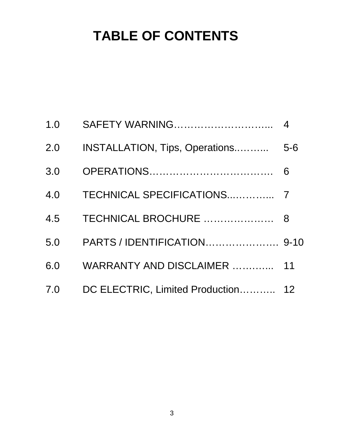# **TABLE OF CONTENTS**

| 1.0 | <b>SAFETY WARNING</b>              | $\overline{4}$ |
|-----|------------------------------------|----------------|
| 2.0 | INSTALLATION, Tips, Operations     | $5-6$          |
| 3.0 |                                    | 6              |
| 4.0 |                                    |                |
| 4.5 | TECHNICAL BROCHURE                 | 8              |
| 5.0 |                                    |                |
| 6.0 | WARRANTY AND DISCLAIMER            | 11             |
| 7.0 | DC ELECTRIC, Limited Production 12 |                |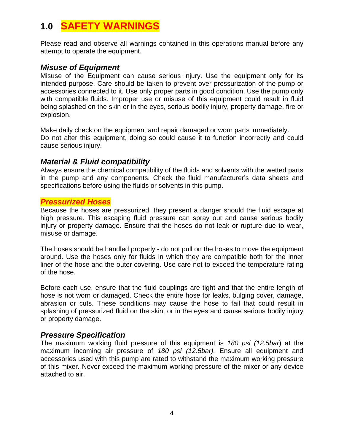### **1.0 SAFETY WARNINGS**

Please read and observe all warnings contained in this operations manual before any attempt to operate the equipment.

#### *Misuse of Equipment*

Misuse of the Equipment can cause serious injury. Use the equipment only for its intended purpose. Care should be taken to prevent over pressurization of the pump or accessories connected to it. Use only proper parts in good condition. Use the pump only with compatible fluids. Improper use or misuse of this equipment could result in fluid being splashed on the skin or in the eyes, serious bodily injury, property damage, fire or explosion.

Make daily check on the equipment and repair damaged or worn parts immediately. Do not alter this equipment, doing so could cause it to function incorrectly and could cause serious injury.

#### *Material & Fluid compatibility*

Always ensure the chemical compatibility of the fluids and solvents with the wetted parts in the pump and any components. Check the fluid manufacturer's data sheets and specifications before using the fluids or solvents in this pump.

#### *Pressurized Hoses*

Because the hoses are pressurized, they present a danger should the fluid escape at high pressure. This escaping fluid pressure can spray out and cause serious bodily injury or property damage. Ensure that the hoses do not leak or rupture due to wear, misuse or damage.

The hoses should be handled properly - do not pull on the hoses to move the equipment around. Use the hoses only for fluids in which they are compatible both for the inner liner of the hose and the outer covering. Use care not to exceed the temperature rating of the hose.

Before each use, ensure that the fluid couplings are tight and that the entire length of hose is not worn or damaged. Check the entire hose for leaks, bulging cover, damage, abrasion or cuts. These conditions may cause the hose to fail that could result in splashing of pressurized fluid on the skin, or in the eyes and cause serious bodily injury or property damage.

#### *Pressure Specification*

The maximum working fluid pressure of this equipment is *180 psi (12.5bar*) at the maximum incoming air pressure of *180 psi (12.5bar).* Ensure all equipment and accessories used with this pump are rated to withstand the maximum working pressure of this mixer. Never exceed the maximum working pressure of the mixer or any device attached to air.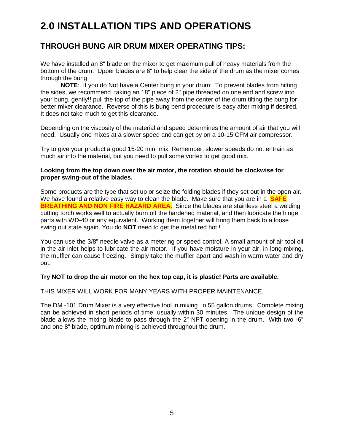### **2.0 INSTALLATION TIPS AND OPERATIONS**

#### **THROUGH BUNG AIR DRUM MIXER OPERATING TIPS:**

We have installed an 8" blade on the mixer to get maximum pull of heavy materials from the bottom of the drum. Upper blades are 6" to help clear the side of the drum as the mixer comes through the bung.

**NOTE**: If you do Not have a Center bung in your drum: To prevent blades from hitting the sides, we recommend taking an 18" piece of 2" pipe threaded on one end and screw into your bung, gently!! pull the top of the pipe away from the center of the drum tilting the bung for better mixer clearance. Reverse of this is bung bend procedure is easy after mixing if desired. It does not take much to get this clearance.

Depending on the viscosity of the material and speed determines the amount of air that you will need. Usually one mixes at a slower speed and can get by on a 10-15 CFM air compressor.

Try to give your product a good 15-20 min. mix. Remember, slower speeds do not entrain as much air into the material, but you need to pull some vortex to get good mix.

#### **Looking from the top down over the air motor, the rotation should be clockwise for proper swing-out of the blades.**

Some products are the type that set up or seize the folding blades if they set out in the open air. We have found a relative easy way to clean the blade. Make sure that you are in a **SAFE BREATHING AND NON FIRE HAZARD AREA.** Since the blades are stainless steel a welding cutting torch works well to actually burn off the hardened material, and then lubricate the hinge parts with WD-40 or any equivalent. Working them together will bring them back to a loose swing out state again. You do **NOT** need to get the metal red hot !

You can use the 3/8" needle valve as a metering or speed control. A small amount of air tool oil in the air inlet helps to lubricate the air motor. If you have moisture in your air, in long-mixing, the muffler can cause freezing. Simply take the muffler apart and wash in warm water and dry out.

#### **Try NOT to drop the air motor on the hex top cap, it is plastic! Parts are available.**

#### THIS MIXER WILL WORK FOR MANY YEARS WITH PROPER MAINTENANCE.

The DM -101 Drum Mixer is a very effective tool in mixing in 55 gallon drums. Complete mixing can be achieved in short periods of time, usually within 30 minutes. The unique design of the blade allows the mixing blade to pass through the 2" NPT opening in the drum. With two -6" and one 8" blade, optimum mixing is achieved throughout the drum.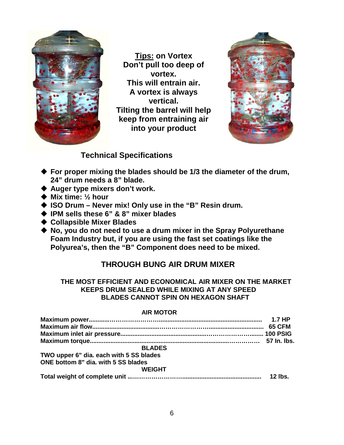

**Tips: on Vortex Don't pull too deep of vortex. This will entrain air. A vortex is always vertical. Tilting the barrel will help keep from entraining air into your product** 



#### **Technical Specifications**

- **For proper mixing the blades should be 1/3 the diameter of the drum, 24" drum needs a 8" blade.**
- **Auger type mixers don't work.**
- **Mix time: ½ hour**
- ◆ ISO Drum Never mix! Only use in the "B" Resin drum.
- **IPM sells these 6" & 8" mixer blades**
- **Collapsible Mixer Blades**
- ◆ No, you do not need to use a drum mixer in the Spray Polyurethane **Foam Industry but, if you are using the fast set coatings like the Polyurea's, then the "B" Component does need to be mixed.**

#### **THROUGH BUNG AIR DRUM MIXER**

#### **THE MOST EFFICIENT AND ECONOMICAL AIR MIXER ON THE MARKET KEEPS DRUM SEALED WHILE MIXING AT ANY SPEED BLADES CANNOT SPIN ON HEXAGON SHAFT**

#### **AIR MOTOR**

| <b>BLADES</b>                           |           |
|-----------------------------------------|-----------|
| TWO upper 6" dia. each with 5 SS blades |           |
| ONE bottom 8" dia, with 5 SS blades     |           |
| <b>WEIGHT</b>                           |           |
|                                         | $12$ lbs. |
|                                         |           |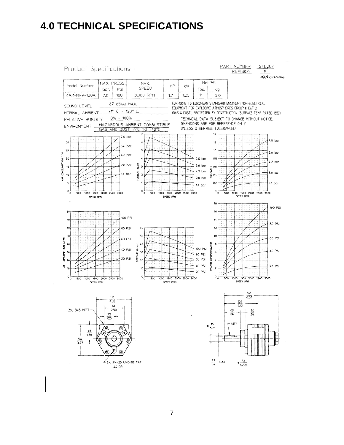### **4.0 TECHNICAL SPECIFICATIONS**

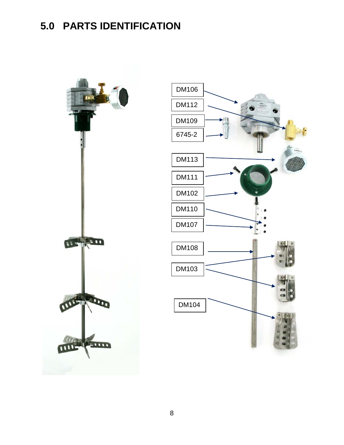### **5.0 PARTS IDENTIFICATION**



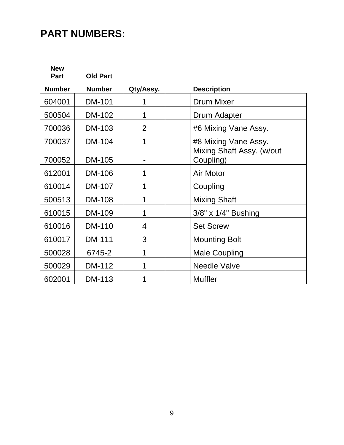### **PART NUMBERS:**

**New Part Old Part Number Number Qty/Assy. Description** 604001 DM-101 1 Drum Mixer 500504 DM-102 1 Drum Adapter 700036 | DM-103 | 2 | #6 Mixing Vane Assy. 700037 | DM-104 | 1 | #8 Mixing Vane Assy. 700052 DM-105 - Mixing Shaft Assy. (w/out Coupling) 612001 | DM-106 | 1 | Air Motor 610014 DM-107 | 1 | Coupling 500513 DM-108 1 1 Mixing Shaft 610015 DM-109 1 1 3/8" x 1/4" Bushing 610016 DM-110 4 Set Screw 610017 | DM-111 | 3 | | Mounting Bolt 500028 6745-2 1 Male Coupling 500029 DM-112 1 Needle Valve 602001 DM-113 1 1 Muffler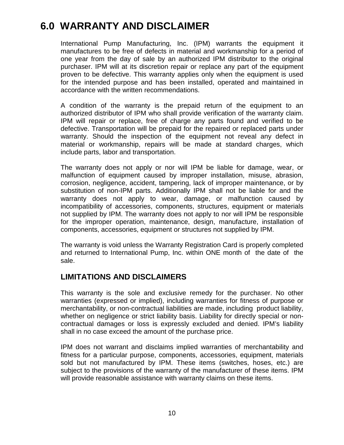### **6.0 WARRANTY AND DISCLAIMER**

International Pump Manufacturing, Inc. (IPM) warrants the equipment it manufactures to be free of defects in material and workmanship for a period of one year from the day of sale by an authorized IPM distributor to the original purchaser. IPM will at its discretion repair or replace any part of the equipment proven to be defective. This warranty applies only when the equipment is used for the intended purpose and has been installed, operated and maintained in accordance with the written recommendations.

A condition of the warranty is the prepaid return of the equipment to an authorized distributor of IPM who shall provide verification of the warranty claim. IPM will repair or replace, free of charge any parts found and verified to be defective. Transportation will be prepaid for the repaired or replaced parts under warranty. Should the inspection of the equipment not reveal any defect in material or workmanship, repairs will be made at standard charges, which include parts, labor and transportation.

The warranty does not apply or nor will IPM be liable for damage, wear, or malfunction of equipment caused by improper installation, misuse, abrasion, corrosion, negligence, accident, tampering, lack of improper maintenance, or by substitution of non-IPM parts. Additionally IPM shall not be liable for and the warranty does not apply to wear, damage, or malfunction caused by incompatibility of accessories, components, structures, equipment or materials not supplied by IPM. The warranty does not apply to nor will IPM be responsible for the improper operation, maintenance, design, manufacture, installation of components, accessories, equipment or structures not supplied by IPM.

The warranty is void unless the Warranty Registration Card is properly completed and returned to International Pump, Inc. within ONE month of the date of the sale.

#### **LIMITATIONS AND DISCLAIMERS**

This warranty is the sole and exclusive remedy for the purchaser. No other warranties (expressed or implied), including warranties for fitness of purpose or merchantability, or non-contractual liabilities are made, including product liability, whether on negligence or strict liability basis. Liability for directly special or noncontractual damages or loss is expressly excluded and denied. IPM's liability shall in no case exceed the amount of the purchase price.

IPM does not warrant and disclaims implied warranties of merchantability and fitness for a particular purpose, components, accessories, equipment, materials sold but not manufactured by IPM. These items (switches, hoses, etc.) are subject to the provisions of the warranty of the manufacturer of these items. IPM will provide reasonable assistance with warranty claims on these items.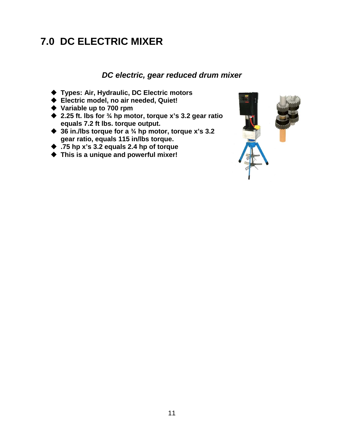### **7.0 DC ELECTRIC MIXER**

#### *DC electric, gear reduced drum mixer*

- **Types: Air, Hydraulic, DC Electric motors**
- **Electric model, no air needed, Quiet!**
- **Variable up to 700 rpm**
- **2.25 ft. lbs for ¾ hp motor, torque x's 3.2 gear ratio equals 7.2 ft lbs. torque output.**
- **36 in./lbs torque for a ¾ hp motor, torque x's 3.2 gear ratio, equals 115 in/lbs torque.**
- **.75 hp x's 3.2 equals 2.4 hp of torque**
- **This is a unique and powerful mixer!**